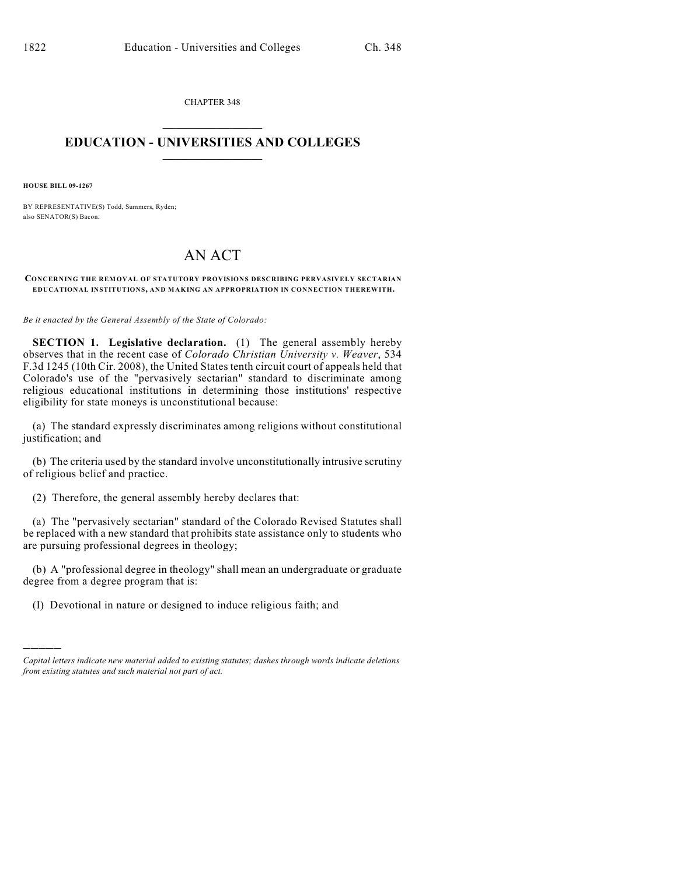CHAPTER 348  $\mathcal{L}_\text{max}$  . The set of the set of the set of the set of the set of the set of the set of the set of the set of the set of the set of the set of the set of the set of the set of the set of the set of the set of the set

## **EDUCATION - UNIVERSITIES AND COLLEGES**  $\_$

**HOUSE BILL 09-1267**

)))))

BY REPRESENTATIVE(S) Todd, Summers, Ryden; also SENATOR(S) Bacon.

## AN ACT

**CONCERNING THE REMOVAL OF STATUTORY PROVISIONS DESCRIBING PERVASIVELY SECTARIAN EDUCATIONAL INSTITUTIONS, AND MAKING AN APPROPRIATION IN CONNECTION THEREWITH.**

*Be it enacted by the General Assembly of the State of Colorado:*

**SECTION 1. Legislative declaration.** (1) The general assembly hereby observes that in the recent case of *Colorado Christian University v. Weaver*, 534 F.3d 1245 (10th Cir. 2008), the United States tenth circuit court of appeals held that Colorado's use of the "pervasively sectarian" standard to discriminate among religious educational institutions in determining those institutions' respective eligibility for state moneys is unconstitutional because:

(a) The standard expressly discriminates among religions without constitutional justification; and

(b) The criteria used by the standard involve unconstitutionally intrusive scrutiny of religious belief and practice.

(2) Therefore, the general assembly hereby declares that:

(a) The "pervasively sectarian" standard of the Colorado Revised Statutes shall be replaced with a new standard that prohibits state assistance only to students who are pursuing professional degrees in theology;

(b) A "professional degree in theology" shall mean an undergraduate or graduate degree from a degree program that is:

(I) Devotional in nature or designed to induce religious faith; and

*Capital letters indicate new material added to existing statutes; dashes through words indicate deletions from existing statutes and such material not part of act.*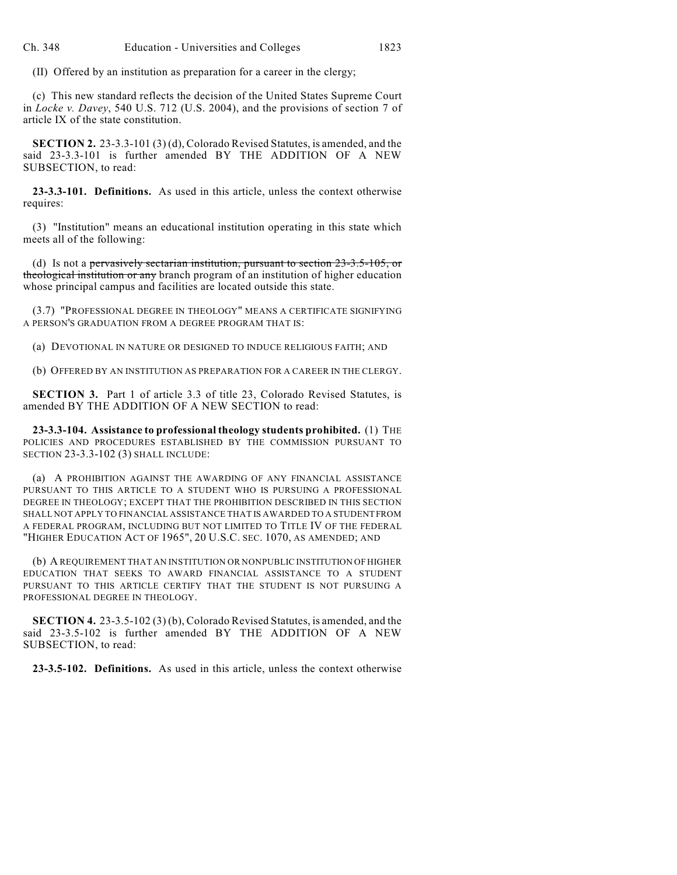(II) Offered by an institution as preparation for a career in the clergy;

(c) This new standard reflects the decision of the United States Supreme Court in *Locke v. Davey*, 540 U.S. 712 (U.S. 2004), and the provisions of section 7 of article IX of the state constitution.

**SECTION 2.** 23-3.3-101 (3) (d), Colorado Revised Statutes, is amended, and the said 23-3.3-101 is further amended BY THE ADDITION OF A NEW SUBSECTION, to read:

**23-3.3-101. Definitions.** As used in this article, unless the context otherwise requires:

(3) "Institution" means an educational institution operating in this state which meets all of the following:

(d) Is not a pervasively sectarian institution, pursuant to section 23-3.5-105, or theological institution or any branch program of an institution of higher education whose principal campus and facilities are located outside this state.

(3.7) "PROFESSIONAL DEGREE IN THEOLOGY" MEANS A CERTIFICATE SIGNIFYING A PERSON'S GRADUATION FROM A DEGREE PROGRAM THAT IS:

(a) DEVOTIONAL IN NATURE OR DESIGNED TO INDUCE RELIGIOUS FAITH; AND

(b) OFFERED BY AN INSTITUTION AS PREPARATION FOR A CAREER IN THE CLERGY.

**SECTION 3.** Part 1 of article 3.3 of title 23, Colorado Revised Statutes, is amended BY THE ADDITION OF A NEW SECTION to read:

**23-3.3-104. Assistance to professional theology students prohibited.** (1) THE POLICIES AND PROCEDURES ESTABLISHED BY THE COMMISSION PURSUANT TO SECTION 23-3.3-102 (3) SHALL INCLUDE:

(a) A PROHIBITION AGAINST THE AWARDING OF ANY FINANCIAL ASSISTANCE PURSUANT TO THIS ARTICLE TO A STUDENT WHO IS PURSUING A PROFESSIONAL DEGREE IN THEOLOGY; EXCEPT THAT THE PROHIBITION DESCRIBED IN THIS SECTION SHALL NOT APPLY TO FINANCIAL ASSISTANCE THAT IS AWARDED TO A STUDENT FROM A FEDERAL PROGRAM, INCLUDING BUT NOT LIMITED TO TITLE IV OF THE FEDERAL "HIGHER EDUCATION ACT OF 1965", 20 U.S.C. SEC. 1070, AS AMENDED; AND

(b) A REQUIREMENT THAT AN INSTITUTION OR NONPUBLIC INSTITUTION OF HIGHER EDUCATION THAT SEEKS TO AWARD FINANCIAL ASSISTANCE TO A STUDENT PURSUANT TO THIS ARTICLE CERTIFY THAT THE STUDENT IS NOT PURSUING A PROFESSIONAL DEGREE IN THEOLOGY.

**SECTION 4.** 23-3.5-102 (3) (b), Colorado Revised Statutes, is amended, and the said 23-3.5-102 is further amended BY THE ADDITION OF A NEW SUBSECTION, to read:

**23-3.5-102. Definitions.** As used in this article, unless the context otherwise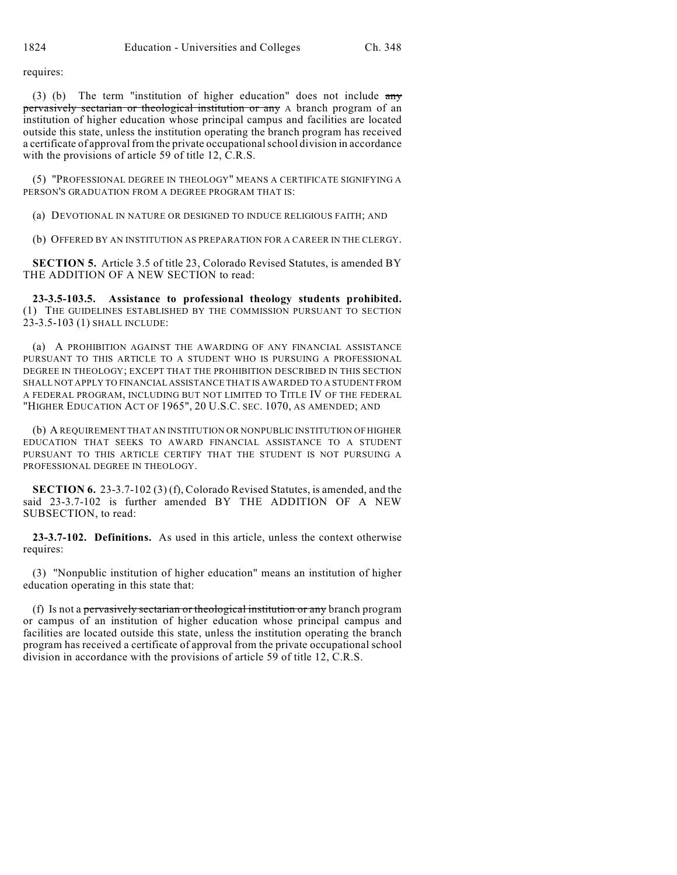requires:

(3) (b) The term "institution of higher education" does not include  $\frac{any}{ }$ pervasively sectarian or theological institution or any A branch program of an institution of higher education whose principal campus and facilities are located outside this state, unless the institution operating the branch program has received a certificate of approval from the private occupational school division in accordance with the provisions of article 59 of title 12, C.R.S.

(5) "PROFESSIONAL DEGREE IN THEOLOGY" MEANS A CERTIFICATE SIGNIFYING A PERSON'S GRADUATION FROM A DEGREE PROGRAM THAT IS:

(a) DEVOTIONAL IN NATURE OR DESIGNED TO INDUCE RELIGIOUS FAITH; AND

(b) OFFERED BY AN INSTITUTION AS PREPARATION FOR A CAREER IN THE CLERGY.

**SECTION 5.** Article 3.5 of title 23, Colorado Revised Statutes, is amended BY THE ADDITION OF A NEW SECTION to read:

**23-3.5-103.5. Assistance to professional theology students prohibited.** (1) THE GUIDELINES ESTABLISHED BY THE COMMISSION PURSUANT TO SECTION 23-3.5-103 (1) SHALL INCLUDE:

(a) A PROHIBITION AGAINST THE AWARDING OF ANY FINANCIAL ASSISTANCE PURSUANT TO THIS ARTICLE TO A STUDENT WHO IS PURSUING A PROFESSIONAL DEGREE IN THEOLOGY; EXCEPT THAT THE PROHIBITION DESCRIBED IN THIS SECTION SHALL NOT APPLY TO FINANCIAL ASSISTANCE THAT IS AWARDED TO A STUDENT FROM A FEDERAL PROGRAM, INCLUDING BUT NOT LIMITED TO TITLE IV OF THE FEDERAL "HIGHER EDUCATION ACT OF 1965", 20 U.S.C. SEC. 1070, AS AMENDED; AND

(b) A REQUIREMENT THAT AN INSTITUTION OR NONPUBLIC INSTITUTION OF HIGHER EDUCATION THAT SEEKS TO AWARD FINANCIAL ASSISTANCE TO A STUDENT PURSUANT TO THIS ARTICLE CERTIFY THAT THE STUDENT IS NOT PURSUING A PROFESSIONAL DEGREE IN THEOLOGY.

**SECTION 6.** 23-3.7-102 (3) (f), Colorado Revised Statutes, is amended, and the said 23-3.7-102 is further amended BY THE ADDITION OF A NEW SUBSECTION, to read:

**23-3.7-102. Definitions.** As used in this article, unless the context otherwise requires:

(3) "Nonpublic institution of higher education" means an institution of higher education operating in this state that:

(f) Is not a pervasively sectarian or theological institution or any branch program or campus of an institution of higher education whose principal campus and facilities are located outside this state, unless the institution operating the branch program has received a certificate of approval from the private occupational school division in accordance with the provisions of article 59 of title 12, C.R.S.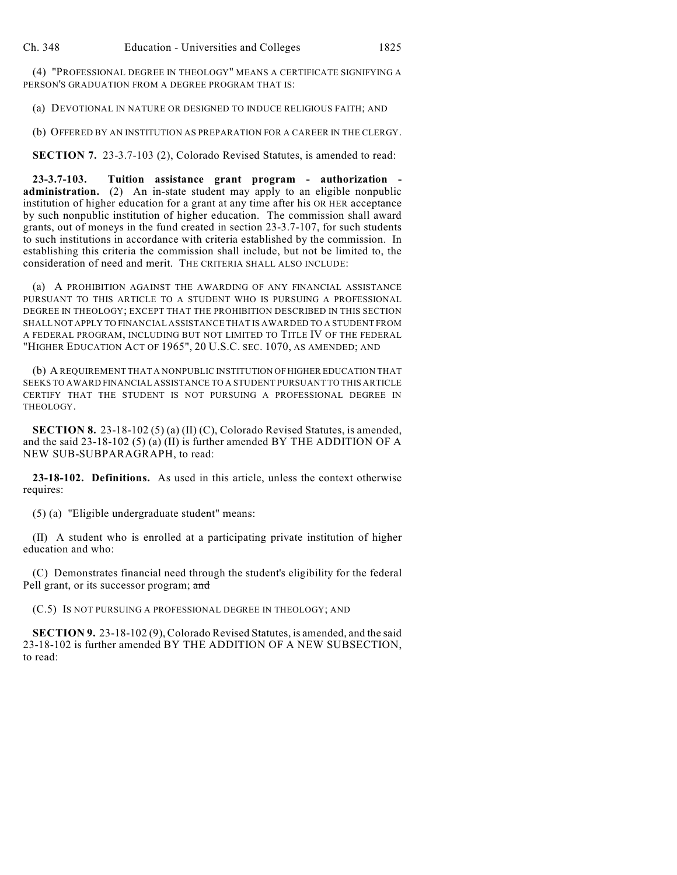(4) "PROFESSIONAL DEGREE IN THEOLOGY" MEANS A CERTIFICATE SIGNIFYING A PERSON'S GRADUATION FROM A DEGREE PROGRAM THAT IS:

(a) DEVOTIONAL IN NATURE OR DESIGNED TO INDUCE RELIGIOUS FAITH; AND

(b) OFFERED BY AN INSTITUTION AS PREPARATION FOR A CAREER IN THE CLERGY.

**SECTION 7.** 23-3.7-103 (2), Colorado Revised Statutes, is amended to read:

**23-3.7-103. Tuition assistance grant program - authorization administration.** (2) An in-state student may apply to an eligible nonpublic institution of higher education for a grant at any time after his OR HER acceptance by such nonpublic institution of higher education. The commission shall award grants, out of moneys in the fund created in section 23-3.7-107, for such students to such institutions in accordance with criteria established by the commission. In establishing this criteria the commission shall include, but not be limited to, the consideration of need and merit. THE CRITERIA SHALL ALSO INCLUDE:

(a) A PROHIBITION AGAINST THE AWARDING OF ANY FINANCIAL ASSISTANCE PURSUANT TO THIS ARTICLE TO A STUDENT WHO IS PURSUING A PROFESSIONAL DEGREE IN THEOLOGY; EXCEPT THAT THE PROHIBITION DESCRIBED IN THIS SECTION SHALL NOT APPLY TO FINANCIAL ASSISTANCE THAT IS AWARDED TO A STUDENT FROM A FEDERAL PROGRAM, INCLUDING BUT NOT LIMITED TO TITLE IV OF THE FEDERAL "HIGHER EDUCATION ACT OF 1965", 20 U.S.C. SEC. 1070, AS AMENDED; AND

(b) A REQUIREMENT THAT A NONPUBLIC INSTITUTION OF HIGHER EDUCATION THAT SEEKS TO AWARD FINANCIAL ASSISTANCE TO A STUDENT PURSUANT TO THIS ARTICLE CERTIFY THAT THE STUDENT IS NOT PURSUING A PROFESSIONAL DEGREE IN THEOLOGY.

**SECTION 8.** 23-18-102 (5) (a) (II) (C), Colorado Revised Statutes, is amended, and the said  $23-18-102$  (5) (a) (II) is further amended BY THE ADDITION OF A NEW SUB-SUBPARAGRAPH, to read:

**23-18-102. Definitions.** As used in this article, unless the context otherwise requires:

(5) (a) "Eligible undergraduate student" means:

(II) A student who is enrolled at a participating private institution of higher education and who:

(C) Demonstrates financial need through the student's eligibility for the federal Pell grant, or its successor program; and

(C.5) IS NOT PURSUING A PROFESSIONAL DEGREE IN THEOLOGY; AND

**SECTION 9.** 23-18-102 (9), Colorado Revised Statutes, is amended, and the said 23-18-102 is further amended BY THE ADDITION OF A NEW SUBSECTION, to read: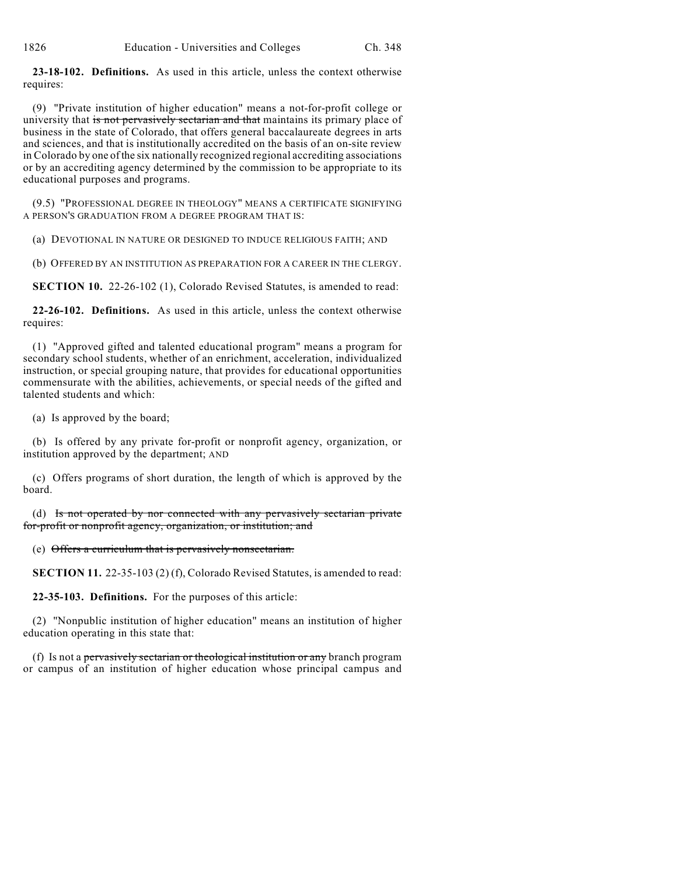**23-18-102. Definitions.** As used in this article, unless the context otherwise requires:

(9) "Private institution of higher education" means a not-for-profit college or university that is not pervasively sectarian and that maintains its primary place of business in the state of Colorado, that offers general baccalaureate degrees in arts and sciences, and that is institutionally accredited on the basis of an on-site review in Colorado by one of the six nationally recognized regional accrediting associations or by an accrediting agency determined by the commission to be appropriate to its educational purposes and programs.

(9.5) "PROFESSIONAL DEGREE IN THEOLOGY" MEANS A CERTIFICATE SIGNIFYING A PERSON'S GRADUATION FROM A DEGREE PROGRAM THAT IS:

(a) DEVOTIONAL IN NATURE OR DESIGNED TO INDUCE RELIGIOUS FAITH; AND

(b) OFFERED BY AN INSTITUTION AS PREPARATION FOR A CAREER IN THE CLERGY.

**SECTION 10.** 22-26-102 (1), Colorado Revised Statutes, is amended to read:

**22-26-102. Definitions.** As used in this article, unless the context otherwise requires:

(1) "Approved gifted and talented educational program" means a program for secondary school students, whether of an enrichment, acceleration, individualized instruction, or special grouping nature, that provides for educational opportunities commensurate with the abilities, achievements, or special needs of the gifted and talented students and which:

(a) Is approved by the board;

(b) Is offered by any private for-profit or nonprofit agency, organization, or institution approved by the department; AND

(c) Offers programs of short duration, the length of which is approved by the board.

(d) Is not operated by nor connected with any pervasively sectarian private for-profit or nonprofit agency, organization, or institution; and

(e) Offers a curriculum that is pervasively nonsectarian.

**SECTION 11.** 22-35-103 (2) (f), Colorado Revised Statutes, is amended to read:

**22-35-103. Definitions.** For the purposes of this article:

(2) "Nonpublic institution of higher education" means an institution of higher education operating in this state that:

(f) Is not a pervasively sectarian or theological institution or any branch program or campus of an institution of higher education whose principal campus and